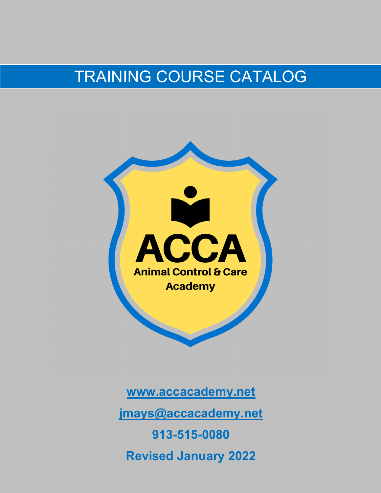# TRAINING COURSE CATALOG



**www.accacademy.net jmays@accacademy.net 913-515-0080 Revised January 2022**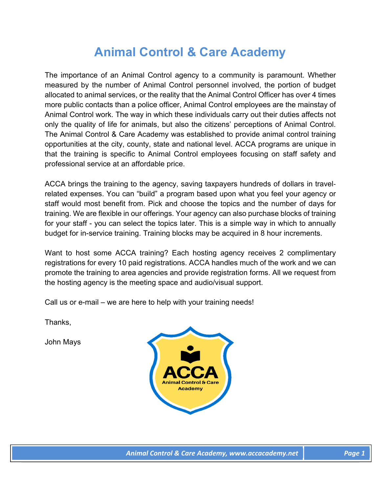# **Animal Control & Care Academy**

The importance of an Animal Control agency to a community is paramount. Whether measured by the number of Animal Control personnel involved, the portion of budget allocated to animal services, or the reality that the Animal Control Officer has over 4 times more public contacts than a police officer, Animal Control employees are the mainstay of Animal Control work. The way in which these individuals carry out their duties affects not only the quality of life for animals, but also the citizens' perceptions of Animal Control. The Animal Control & Care Academy was established to provide animal control training opportunities at the city, county, state and national level. ACCA programs are unique in that the training is specific to Animal Control employees focusing on staff safety and professional service at an affordable price.

ACCA brings the training to the agency, saving taxpayers hundreds of dollars in travelrelated expenses. You can "build" a program based upon what you feel your agency or staff would most benefit from. Pick and choose the topics and the number of days for training. We are flexible in our offerings. Your agency can also purchase blocks of training for your staff - you can select the topics later. This is a simple way in which to annually budget for in-service training. Training blocks may be acquired in 8 hour increments.

Want to host some ACCA training? Each hosting agency receives 2 complimentary registrations for every 10 paid registrations. ACCA handles much of the work and we can promote the training to area agencies and provide registration forms. All we request from the hosting agency is the meeting space and audio/visual support.

Call us or e-mail – we are here to help with your training needs!

Thanks,

John Mays

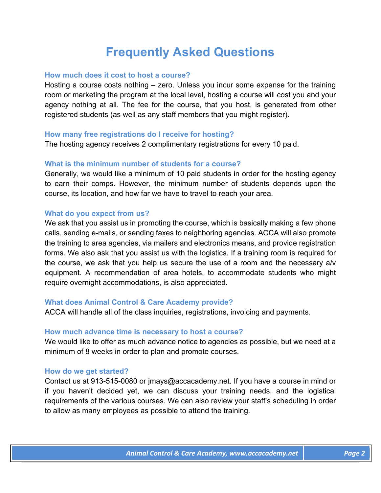# **Frequently Asked Questions**

# **How much does it cost to host a course?**

Hosting a course costs nothing – zero. Unless you incur some expense for the training room or marketing the program at the local level, hosting a course will cost you and your agency nothing at all. The fee for the course, that you host, is generated from other registered students (as well as any staff members that you might register).

# **How many free registrations do I receive for hosting?**

The hosting agency receives 2 complimentary registrations for every 10 paid.

# **What is the minimum number of students for a course?**

Generally, we would like a minimum of 10 paid students in order for the hosting agency to earn their comps. However, the minimum number of students depends upon the course, its location, and how far we have to travel to reach your area.

# **What do you expect from us?**

We ask that you assist us in promoting the course, which is basically making a few phone calls, sending e-mails, or sending faxes to neighboring agencies. ACCA will also promote the training to area agencies, via mailers and electronics means, and provide registration forms. We also ask that you assist us with the logistics. If a training room is required for the course, we ask that you help us secure the use of a room and the necessary a/v equipment. A recommendation of area hotels, to accommodate students who might require overnight accommodations, is also appreciated.

# **What does Animal Control & Care Academy provide?**

ACCA will handle all of the class inquiries, registrations, invoicing and payments.

# **How much advance time is necessary to host a course?**

We would like to offer as much advance notice to agencies as possible, but we need at a minimum of 8 weeks in order to plan and promote courses.

# **How do we get started?**

Contact us at 913-515-0080 or jmays@accacademy.net. If you have a course in mind or if you haven't decided yet, we can discuss your training needs, and the logistical requirements of the various courses. We can also review your staff's scheduling in order to allow as many employees as possible to attend the training.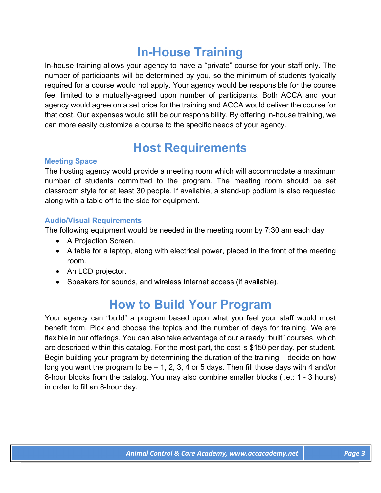# **In-House Training**

In-house training allows your agency to have a "private" course for your staff only. The number of participants will be determined by you, so the minimum of students typically required for a course would not apply. Your agency would be responsible for the course fee, limited to a mutually-agreed upon number of participants. Both ACCA and your agency would agree on a set price for the training and ACCA would deliver the course for that cost. Our expenses would still be our responsibility. By offering in-house training, we can more easily customize a course to the specific needs of your agency.

# **Host Requirements**

# **Meeting Space**

The hosting agency would provide a meeting room which will accommodate a maximum number of students committed to the program. The meeting room should be set classroom style for at least 30 people. If available, a stand-up podium is also requested along with a table off to the side for equipment.

# **Audio/Visual Requirements**

The following equipment would be needed in the meeting room by 7:30 am each day:

- A Projection Screen.
- A table for a laptop, along with electrical power, placed in the front of the meeting room.
- An LCD projector.
- Speakers for sounds, and wireless Internet access (if available).

# **How to Build Your Program**

Your agency can "build" a program based upon what you feel your staff would most benefit from. Pick and choose the topics and the number of days for training. We are flexible in our offerings. You can also take advantage of our already "built" courses, which are described within this catalog. For the most part, the cost is \$150 per day, per student. Begin building your program by determining the duration of the training – decide on how long you want the program to be  $-1$ , 2, 3, 4 or 5 days. Then fill those days with 4 and/or 8-hour blocks from the catalog. You may also combine smaller blocks (i.e.: 1 - 3 hours) in order to fill an 8-hour day.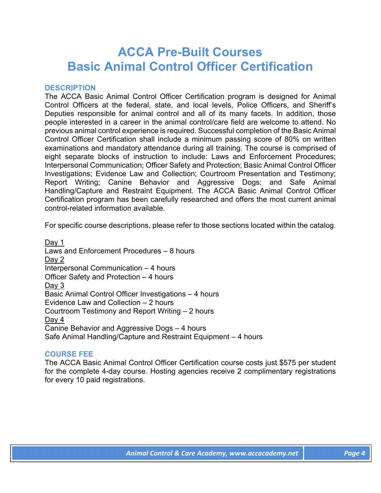# **ACCA Pre-Built Courses Basic Animal Control Officer Certification**

### **DESCRIPTION**

The ACCA Basic Animal Control Officer Certification program is designed for Animal Control Officers at the federal, state, and local levels, Police Officers, and Sheriff's Deputies responsible for animal control and all of its many facets. In addition, those people interested in a career in the animal control/care field are welcome to attend. No previous animal control experience is required. Successful completion of the Basic Animal Control Officer Certification shall include a minimum passing score of 80% on written examinations and mandatory attendance during all training. The course is comprised of eight separate blocks of instruction to include: Laws and Enforcement Procedures; Interpersonal Communication; Officer Safety and Protection; Basic Animal Control Officer Investigations; Evidence Law and Collection; Courtroom Presentation and Testimony; Report Writing; Canine Behavior and Aggressive Dogs; and Safe Animal Handling/Capture and Restraint Equipment. The ACCA Basic Animal Control Officer Certification program has been carefully researched and offers the most current animal control-related information available.

For specific course descriptions, please refer to those sections located within the catalog.

Day 1 Laws and Enforcement Procedures – 8 hours Day 2 Interpersonal Communication – 4 hours Officer Safety and Protection – 4 hours Day 3 Basic Animal Control Officer Investigations – 4 hours Evidence Law and Collection – 2 hours Courtroom Testimony and Report Writing – 2 hours Day 4 Canine Behavior and Aggressive Dogs – 4 hours Safe Animal Handling/Capture and Restraint Equipment – 4 hours

# **COURSE FEE**

The ACCA Basic Animal Control Officer Certification course costs just \$575 per student for the complete 4-day course. Hosting agencies receive 2 complimentary registrations for every 10 paid registrations.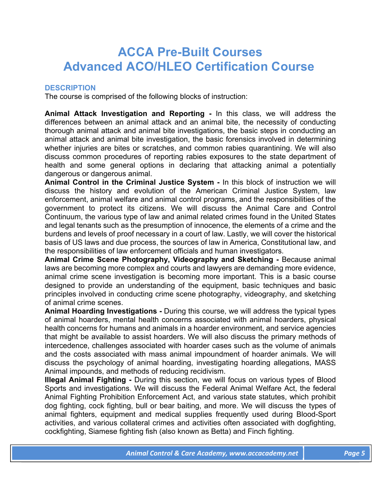# **ACCA Pre-Built Courses Advanced ACO/HLEO Certification Course**

# **DESCRIPTION**

The course is comprised of the following blocks of instruction:

**Animal Attack Investigation and Reporting -** In this class, we will address the differences between an animal attack and an animal bite, the necessity of conducting thorough animal attack and animal bite investigations, the basic steps in conducting an animal attack and animal bite investigation, the basic forensics involved in determining whether injuries are bites or scratches, and common rabies quarantining. We will also discuss common procedures of reporting rabies exposures to the state department of health and some general options in declaring that attacking animal a potentially dangerous or dangerous animal.

**Animal Control in the Criminal Justice System -** In this block of instruction we will discuss the history and evolution of the American Criminal Justice System, law enforcement, animal welfare and animal control programs, and the responsibilities of the government to protect its citizens. We will discuss the Animal Care and Control Continuum, the various type of law and animal related crimes found in the United States and legal tenants such as the presumption of innocence, the elements of a crime and the burdens and levels of proof necessary in a court of law. Lastly, we will cover the historical basis of US laws and due process, the sources of law in America, Constitutional law, and the responsibilities of law enforcement officials and human investigators.

**Animal Crime Scene Photography, Videography and Sketching -** Because animal laws are becoming more complex and courts and lawyers are demanding more evidence, animal crime scene investigation is becoming more important. This is a basic course designed to provide an understanding of the equipment, basic techniques and basic principles involved in conducting crime scene photography, videography, and sketching of animal crime scenes.

**Animal Hoarding Investigations -** During this course, we will address the typical types of animal hoarders, mental health concerns associated with animal hoarders, physical health concerns for humans and animals in a hoarder environment, and service agencies that might be available to assist hoarders. We will also discuss the primary methods of intercedence, challenges associated with hoarder cases such as the volume of animals and the costs associated with mass animal impoundment of hoarder animals. We will discuss the psychology of animal hoarding, investigating hoarding allegations, MASS Animal impounds, and methods of reducing recidivism.

**Illegal Animal Fighting - During this section, we will focus on various types of Blood** Sports and investigations. We will discuss the Federal Animal Welfare Act, the federal Animal Fighting Prohibition Enforcement Act, and various state statutes, which prohibit dog fighting, cock fighting, bull or bear baiting, and more. We will discuss the types of animal fighters, equipment and medical supplies frequently used during Blood-Sport activities, and various collateral crimes and activities often associated with dogfighting, cockfighting, Siamese fighting fish (also known as Betta) and Finch fighting.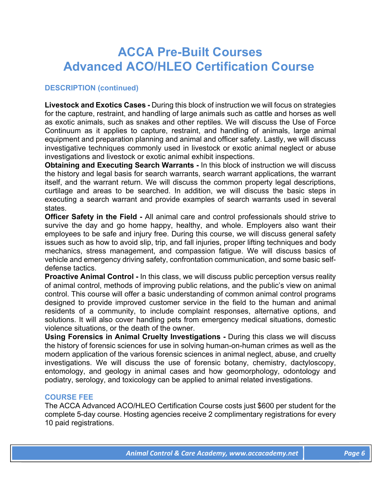# **ACCA Pre-Built Courses Advanced ACO/HLEO Certification Course**

# **DESCRIPTION (continued)**

**Livestock and Exotics Cases -** During this block of instruction we will focus on strategies for the capture, restraint, and handling of large animals such as cattle and horses as well as exotic animals, such as snakes and other reptiles. We will discuss the Use of Force Continuum as it applies to capture, restraint, and handling of animals, large animal equipment and preparation planning and animal and officer safety. Lastly, we will discuss investigative techniques commonly used in livestock or exotic animal neglect or abuse investigations and livestock or exotic animal exhibit inspections.

**Obtaining and Executing Search Warrants -** In this block of instruction we will discuss the history and legal basis for search warrants, search warrant applications, the warrant itself, and the warrant return. We will discuss the common property legal descriptions, curtilage and areas to be searched. In addition, we will discuss the basic steps in executing a search warrant and provide examples of search warrants used in several states.

**Officer Safety in the Field -** All animal care and control professionals should strive to survive the day and go home happy, healthy, and whole. Employers also want their employees to be safe and injury free. During this course, we will discuss general safety issues such as how to avoid slip, trip, and fall injuries, proper lifting techniques and body mechanics, stress management, and compassion fatigue. We will discuss basics of vehicle and emergency driving safety, confrontation communication, and some basic selfdefense tactics.

**Proactive Animal Control - In this class, we will discuss public perception versus reality** of animal control, methods of improving public relations, and the public's view on animal control. This course will offer a basic understanding of common animal control programs designed to provide improved customer service in the field to the human and animal residents of a community, to include complaint responses, alternative options, and solutions. It will also cover handling pets from emergency medical situations, domestic violence situations, or the death of the owner.

**Using Forensics in Animal Cruelty Investigations -** During this class we will discuss the history of forensic sciences for use in solving human-on-human crimes as well as the modern application of the various forensic sciences in animal neglect, abuse, and cruelty investigations. We will discuss the use of forensic botany, chemistry, dactyloscopy, entomology, and geology in animal cases and how geomorphology, odontology and podiatry, serology, and toxicology can be applied to animal related investigations.

# **COURSE FEE**

The ACCA Advanced ACO/HLEO Certification Course costs just \$600 per student for the complete 5-day course. Hosting agencies receive 2 complimentary registrations for every 10 paid registrations.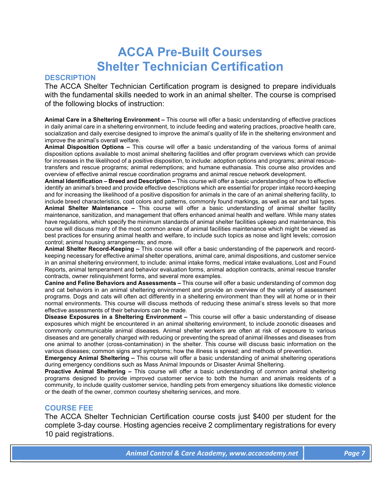# **ACCA Pre-Built Courses Shelter Technician Certification**

### **DESCRIPTION**

The ACCA Shelter Technician Certification program is designed to prepare individuals with the fundamental skills needed to work in an animal shelter. The course is comprised of the following blocks of instruction:

**Animal Care in a Sheltering Environment –** This course will offer a basic understanding of effective practices in daily animal care in a sheltering environment, to include feeding and watering practices, proactive health care, socialization and daily exercise designed to improve the animal's quality of life in the sheltering environment and improve the animal's overall welfare.

**Animal Disposition Options –** This course will offer a basic understanding of the various forms of animal disposition options available to most animal sheltering facilities and offer program overviews which can provide for increases in the likelihood of a positive disposition, to include: adoption options and programs; animal rescuetransfers and rescue programs; animal redemptions; and humane euthanasia. This course also provides and overview of effective animal rescue coordination programs and animal rescue network development.

**Animal Identification – Breed and Description –** This course will offer a basic understanding of how to effective identify an animal's breed and provide effective descriptions which are essential for proper intake record-keeping and for increasing the likelihood of a positive disposition for animals in the care of an animal sheltering facility, to include breed characteristics, coat colors and patterns, commonly found markings, as well as ear and tail types. **Animal Shelter Maintenance –** This course will offer a basic understanding of animal shelter facility maintenance, sanitization, and management that offers enhanced animal health and welfare. While many states have regulations, which specify the minimum standards of animal shelter facilities upkeep and maintenance, this course will discuss many of the most common areas of animal facilities maintenance which might be viewed as best practices for ensuring animal health and welfare, to include such topics as noise and light levels; corrosion control; animal housing arrangements; and more.

**Animal Shelter Record-Keeping –** This course will offer a basic understanding of the paperwork and recordkeeping necessary for effective animal shelter operations, animal care, animal dispositions, and customer service in an animal sheltering environment, to include: animal intake forms, medical intake evaluations, Lost and Found Reports, animal temperament and behavior evaluation forms, animal adoption contracts, animal rescue transfer contracts, owner relinquishment forms, and several more examples.

**Canine and Feline Behaviors and Assessments –** This course will offer a basic understanding of common dog and cat behaviors in an animal sheltering environment and provide an overview of the variety of assessment programs. Dogs and cats will often act differently in a sheltering environment than they will at home or in their normal environments. This course will discuss methods of reducing these animal's stress levels so that more effective assessments of their behaviors can be made.

**Disease Exposures in a Sheltering Environment –** This course will offer a basic understanding of disease exposures which might be encountered in an animal sheltering environment, to include zoonotic diseases and commonly communicable animal diseases. Animal shelter workers are often at risk of exposure to various diseases and are generally charged with reducing or preventing the spread of animal illnesses and diseases from one animal to another (cross-contamination) in the shelter. This course will discuss basic information on the various diseases; common signs and symptoms; how the illness is spread; and methods of prevention.

**Emergency Animal Sheltering –** This course will offer a basic understanding of animal sheltering operations during emergency conditions such as Mass Animal Impounds or Disaster Animal Sheltering.

**Proactive Animal Sheltering –** This course will offer a basic understanding of common animal sheltering programs designed to provide improved customer service to both the human and animals residents of a community, to include quality customer service, handling pets from emergency situations like domestic violence or the death of the owner, common courtesy sheltering services, and more.

# **COURSE FEE**

The ACCA Shelter Technician Certification course costs just \$400 per student for the complete 3-day course. Hosting agencies receive 2 complimentary registrations for every 10 paid registrations.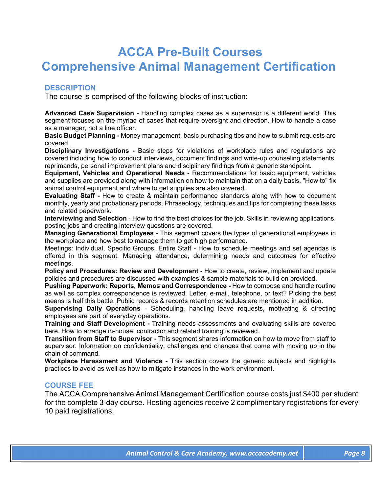# **ACCA Pre-Built Courses Comprehensive Animal Management Certification**

# **DESCRIPTION**

The course is comprised of the following blocks of instruction:

**Advanced Case Supervision -** Handling complex cases as a supervisor is a different world. This segment focuses on the myriad of cases that require oversight and direction. How to handle a case as a manager, not a line officer.

**Basic Budget Planning -** Money management, basic purchasing tips and how to submit requests are covered.

**Disciplinary Investigations -** Basic steps for violations of workplace rules and regulations are covered including how to conduct interviews, document findings and write-up counseling statements, reprimands, personal improvement plans and disciplinary findings from a generic standpoint.

**Equipment, Vehicles and Operational Needs** - Recommendations for basic equipment, vehicles and supplies are provided along with information on how to maintain that on a daily basis. "How to" fix animal control equipment and where to get supplies are also covered.

**Evaluating Staff -** How to create & maintain performance standards along with how to document monthly, yearly and probationary periods. Phraseology, techniques and tips for completing these tasks and related paperwork.

**Interviewing and Selection** - How to find the best choices for the job. Skills in reviewing applications, posting jobs and creating interview questions are covered.

**Managing Generational Employees** - This segment covers the types of generational employees in the workplace and how best to manage them to get high performance.

Meetings: Individual, Specific Groups, Entire Staff - How to schedule meetings and set agendas is offered in this segment. Managing attendance, determining needs and outcomes for effective meetings.

**Policy and Procedures: Review and Development -** How to create, review, implement and update policies and procedures are discussed with examples & sample materials to build on provided.

**Pushing Paperwork: Reports, Memos and Correspondence -** How to compose and handle routine as well as complex correspondence is reviewed. Letter, e-mail, telephone, or text? Picking the best means is half this battle. Public records & records retention schedules are mentioned in addition.

**Supervising Daily Operations** - Scheduling, handling leave requests, motivating & directing employees are part of everyday operations.

**Training and Staff Development -** Training needs assessments and evaluating skills are covered here. How to arrange in-house, contractor and related training is reviewed.

**Transition from Staff to Supervisor -** This segment shares information on how to move from staff to supervisor. Information on confidentiality, challenges and changes that come with moving up in the chain of command.

**Workplace Harassment and Violence -** This section covers the generic subjects and highlights practices to avoid as well as how to mitigate instances in the work environment.

# **COURSE FEE**

The ACCA Comprehensive Animal Management Certification course costs just \$400 per student for the complete 3-day course. Hosting agencies receive 2 complimentary registrations for every 10 paid registrations.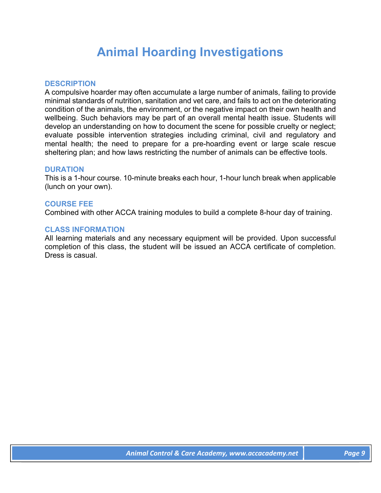# **Animal Hoarding Investigations**

# **DESCRIPTION**

A compulsive hoarder may often accumulate a large number of animals, failing to provide minimal standards of nutrition, sanitation and vet care, and fails to act on the deteriorating condition of the animals, the environment, or the negative impact on their own health and wellbeing. Such behaviors may be part of an overall mental health issue. Students will develop an understanding on how to document the scene for possible cruelty or neglect; evaluate possible intervention strategies including criminal, civil and regulatory and mental health; the need to prepare for a pre-hoarding event or large scale rescue sheltering plan; and how laws restricting the number of animals can be effective tools.

# **DURATION**

This is a 1-hour course. 10-minute breaks each hour, 1-hour lunch break when applicable (lunch on your own).

### **COURSE FEE**

Combined with other ACCA training modules to build a complete 8-hour day of training.

# **CLASS INFORMATION**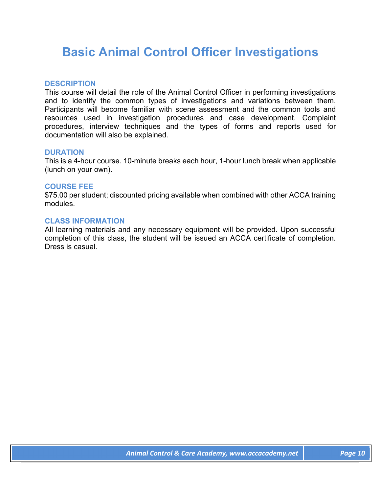# **Basic Animal Control Officer Investigations**

# **DESCRIPTION**

This course will detail the role of the Animal Control Officer in performing investigations and to identify the common types of investigations and variations between them. Participants will become familiar with scene assessment and the common tools and resources used in investigation procedures and case development. Complaint procedures, interview techniques and the types of forms and reports used for documentation will also be explained.

# **DURATION**

This is a 4-hour course. 10-minute breaks each hour, 1-hour lunch break when applicable (lunch on your own).

### **COURSE FEE**

\$75.00 per student; discounted pricing available when combined with other ACCA training modules.

### **CLASS INFORMATION**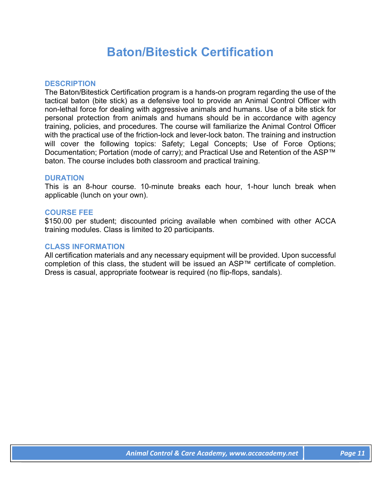# **Baton/Bitestick Certification**

### **DESCRIPTION**

The Baton/Bitestick Certification program is a hands-on program regarding the use of the tactical baton (bite stick) as a defensive tool to provide an Animal Control Officer with non-lethal force for dealing with aggressive animals and humans. Use of a bite stick for personal protection from animals and humans should be in accordance with agency training, policies, and procedures. The course will familiarize the Animal Control Officer with the practical use of the friction-lock and lever-lock baton. The training and instruction will cover the following topics: Safety; Legal Concepts; Use of Force Options; Documentation; Portation (mode of carry); and Practical Use and Retention of the ASP™ baton. The course includes both classroom and practical training.

### **DURATION**

This is an 8-hour course. 10-minute breaks each hour, 1-hour lunch break when applicable (lunch on your own).

### **COURSE FEE**

\$150.00 per student; discounted pricing available when combined with other ACCA training modules. Class is limited to 20 participants.

#### **CLASS INFORMATION**

All certification materials and any necessary equipment will be provided. Upon successful completion of this class, the student will be issued an ASP™ certificate of completion. Dress is casual, appropriate footwear is required (no flip-flops, sandals).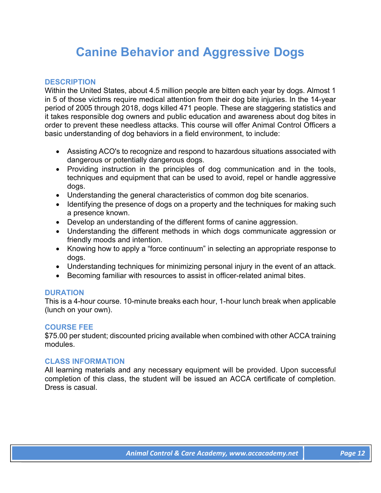# **Canine Behavior and Aggressive Dogs**

# **DESCRIPTION**

Within the United States, about 4.5 million people are bitten each year by dogs. Almost 1 in 5 of those victims require medical attention from their dog bite injuries. In the 14-year period of 2005 through 2018, dogs killed 471 people. These are staggering statistics and it takes responsible dog owners and public education and awareness about dog bites in order to prevent these needless attacks. This course will offer Animal Control Officers a basic understanding of dog behaviors in a field environment, to include:

- Assisting ACO's to recognize and respond to hazardous situations associated with dangerous or potentially dangerous dogs.
- Providing instruction in the principles of dog communication and in the tools, techniques and equipment that can be used to avoid, repel or handle aggressive dogs.
- Understanding the general characteristics of common dog bite scenarios.
- Identifying the presence of dogs on a property and the techniques for making such a presence known.
- Develop an understanding of the different forms of canine aggression.
- Understanding the different methods in which dogs communicate aggression or friendly moods and intention.
- Knowing how to apply a "force continuum" in selecting an appropriate response to dogs.
- Understanding techniques for minimizing personal injury in the event of an attack.
- Becoming familiar with resources to assist in officer-related animal bites.

# **DURATION**

This is a 4-hour course. 10-minute breaks each hour, 1-hour lunch break when applicable (lunch on your own).

# **COURSE FEE**

\$75.00 per student; discounted pricing available when combined with other ACCA training modules.

# **CLASS INFORMATION**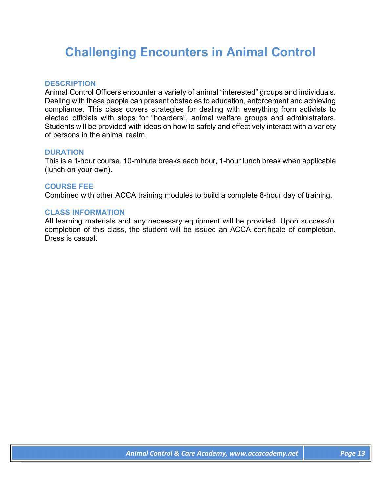# **Challenging Encounters in Animal Control**

# **DESCRIPTION**

Animal Control Officers encounter a variety of animal "interested" groups and individuals. Dealing with these people can present obstacles to education, enforcement and achieving compliance. This class covers strategies for dealing with everything from activists to elected officials with stops for "hoarders", animal welfare groups and administrators. Students will be provided with ideas on how to safely and effectively interact with a variety of persons in the animal realm.

### **DURATION**

This is a 1-hour course. 10-minute breaks each hour, 1-hour lunch break when applicable (lunch on your own).

### **COURSE FEE**

Combined with other ACCA training modules to build a complete 8-hour day of training.

#### **CLASS INFORMATION**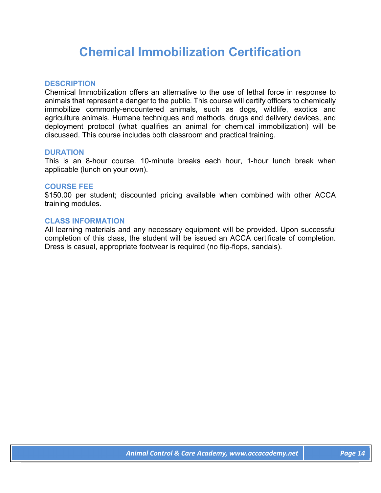# **Chemical Immobilization Certification**

# **DESCRIPTION**

Chemical Immobilization offers an alternative to the use of lethal force in response to animals that represent a danger to the public. This course will certify officers to chemically immobilize commonly-encountered animals, such as dogs, wildlife, exotics and agriculture animals. Humane techniques and methods, drugs and delivery devices, and deployment protocol (what qualifies an animal for chemical immobilization) will be discussed. This course includes both classroom and practical training.

# **DURATION**

This is an 8-hour course. 10-minute breaks each hour, 1-hour lunch break when applicable (lunch on your own).

### **COURSE FEE**

\$150.00 per student; discounted pricing available when combined with other ACCA training modules.

### **CLASS INFORMATION**

All learning materials and any necessary equipment will be provided. Upon successful completion of this class, the student will be issued an ACCA certificate of completion. Dress is casual, appropriate footwear is required (no flip-flops, sandals).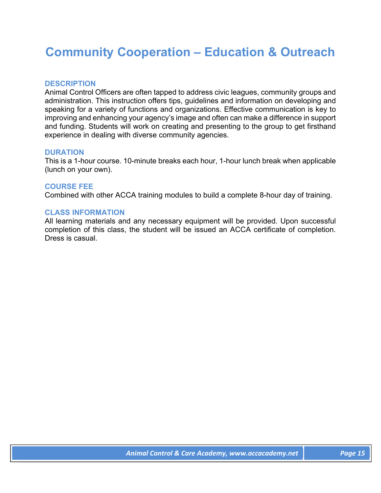# **Community Cooperation – Education & Outreach**

# **DESCRIPTION**

Animal Control Officers are often tapped to address civic leagues, community groups and administration. This instruction offers tips, guidelines and information on developing and speaking for a variety of functions and organizations. Effective communication is key to improving and enhancing your agency's image and often can make a difference in support and funding. Students will work on creating and presenting to the group to get firsthand experience in dealing with diverse community agencies.

# **DURATION**

This is a 1-hour course. 10-minute breaks each hour, 1-hour lunch break when applicable (lunch on your own).

# **COURSE FEE**

Combined with other ACCA training modules to build a complete 8-hour day of training.

### **CLASS INFORMATION**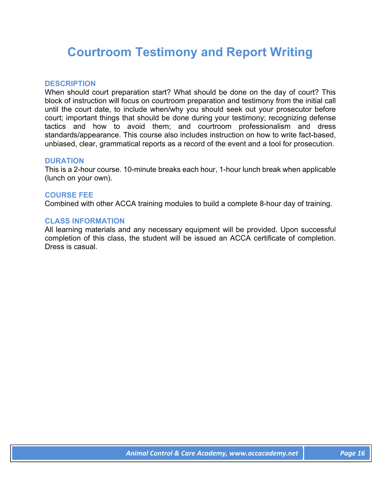# **Courtroom Testimony and Report Writing**

# **DESCRIPTION**

When should court preparation start? What should be done on the day of court? This block of instruction will focus on courtroom preparation and testimony from the initial call until the court date, to include when/why you should seek out your prosecutor before court; important things that should be done during your testimony; recognizing defense tactics and how to avoid them; and courtroom professionalism and dress standards/appearance. This course also includes instruction on how to write fact-based, unbiased, clear, grammatical reports as a record of the event and a tool for prosecution.

# **DURATION**

This is a 2-hour course. 10-minute breaks each hour, 1-hour lunch break when applicable (lunch on your own).

# **COURSE FEE**

Combined with other ACCA training modules to build a complete 8-hour day of training.

### **CLASS INFORMATION**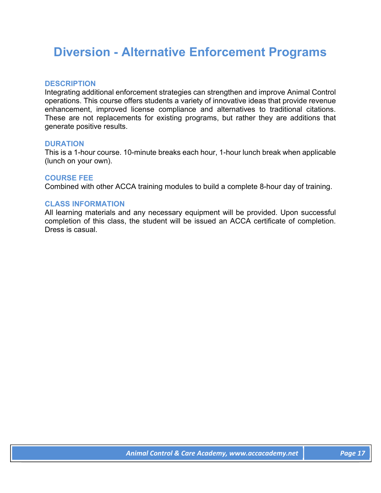# **Diversion - Alternative Enforcement Programs**

# **DESCRIPTION**

Integrating additional enforcement strategies can strengthen and improve Animal Control operations. This course offers students a variety of innovative ideas that provide revenue enhancement, improved license compliance and alternatives to traditional citations. These are not replacements for existing programs, but rather they are additions that generate positive results.

### **DURATION**

This is a 1-hour course. 10-minute breaks each hour, 1-hour lunch break when applicable (lunch on your own).

### **COURSE FEE**

Combined with other ACCA training modules to build a complete 8-hour day of training.

# **CLASS INFORMATION**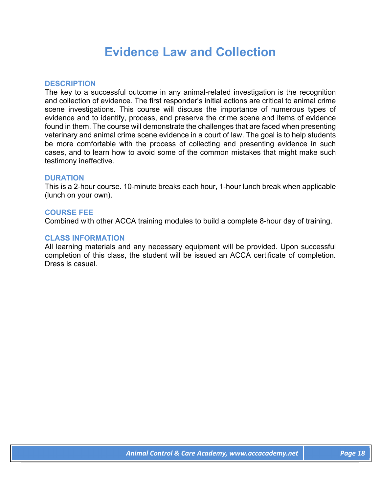# **Evidence Law and Collection**

# **DESCRIPTION**

The key to a successful outcome in any animal-related investigation is the recognition and collection of evidence. The first responder's initial actions are critical to animal crime scene investigations. This course will discuss the importance of numerous types of evidence and to identify, process, and preserve the crime scene and items of evidence found in them. The course will demonstrate the challenges that are faced when presenting veterinary and animal crime scene evidence in a court of law. The goal is to help students be more comfortable with the process of collecting and presenting evidence in such cases, and to learn how to avoid some of the common mistakes that might make such testimony ineffective.

# **DURATION**

This is a 2-hour course. 10-minute breaks each hour, 1-hour lunch break when applicable (lunch on your own).

# **COURSE FEE**

Combined with other ACCA training modules to build a complete 8-hour day of training.

# **CLASS INFORMATION**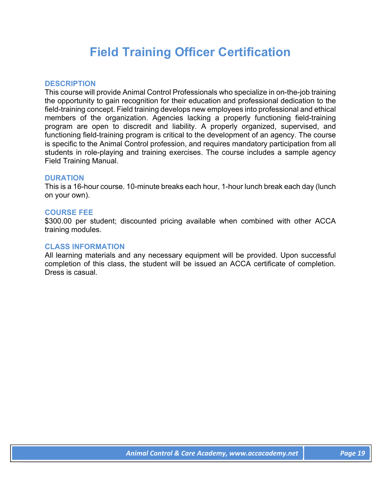# **Field Training Officer Certification**

# **DESCRIPTION**

This course will provide Animal Control Professionals who specialize in on-the-job training the opportunity to gain recognition for their education and professional dedication to the field-training concept. Field training develops new employees into professional and ethical members of the organization. Agencies lacking a properly functioning field-training program are open to discredit and liability. A properly organized, supervised, and functioning field-training program is critical to the development of an agency. The course is specific to the Animal Control profession, and requires mandatory participation from all students in role-playing and training exercises. The course includes a sample agency Field Training Manual.

# **DURATION**

This is a 16-hour course. 10-minute breaks each hour, 1-hour lunch break each day (lunch on your own).

### **COURSE FEE**

\$300.00 per student; discounted pricing available when combined with other ACCA training modules.

#### **CLASS INFORMATION**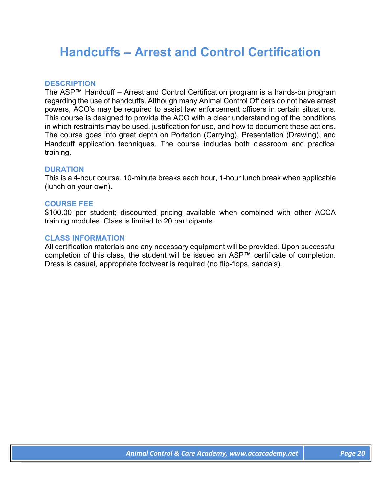# **Handcuffs – Arrest and Control Certification**

# **DESCRIPTION**

The ASP™ Handcuff – Arrest and Control Certification program is a hands-on program regarding the use of handcuffs. Although many Animal Control Officers do not have arrest powers, ACO's may be required to assist law enforcement officers in certain situations. This course is designed to provide the ACO with a clear understanding of the conditions in which restraints may be used, justification for use, and how to document these actions. The course goes into great depth on Portation (Carrying), Presentation (Drawing), and Handcuff application techniques. The course includes both classroom and practical training.

# **DURATION**

This is a 4-hour course. 10-minute breaks each hour, 1-hour lunch break when applicable (lunch on your own).

# **COURSE FEE**

\$100.00 per student; discounted pricing available when combined with other ACCA training modules. Class is limited to 20 participants.

# **CLASS INFORMATION**

All certification materials and any necessary equipment will be provided. Upon successful completion of this class, the student will be issued an ASP™ certificate of completion. Dress is casual, appropriate footwear is required (no flip-flops, sandals).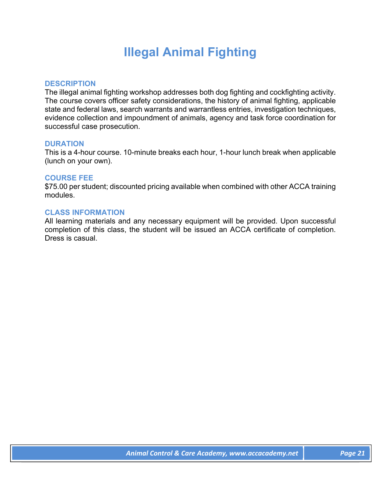# **Illegal Animal Fighting**

# **DESCRIPTION**

The illegal animal fighting workshop addresses both dog fighting and cockfighting activity. The course covers officer safety considerations, the history of animal fighting, applicable state and federal laws, search warrants and warrantless entries, investigation techniques, evidence collection and impoundment of animals, agency and task force coordination for successful case prosecution.

# **DURATION**

This is a 4-hour course. 10-minute breaks each hour, 1-hour lunch break when applicable (lunch on your own).

### **COURSE FEE**

\$75.00 per student; discounted pricing available when combined with other ACCA training modules.

# **CLASS INFORMATION**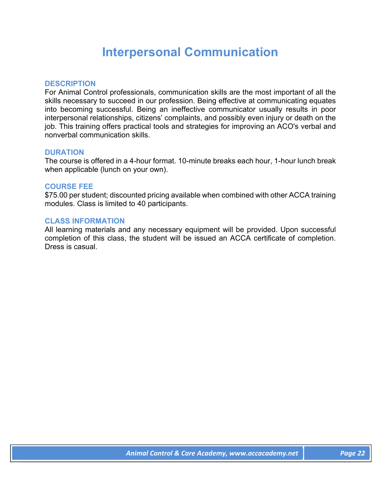# **Interpersonal Communication**

# **DESCRIPTION**

For Animal Control professionals, communication skills are the most important of all the skills necessary to succeed in our profession. Being effective at communicating equates into becoming successful. Being an ineffective communicator usually results in poor interpersonal relationships, citizens' complaints, and possibly even injury or death on the job. This training offers practical tools and strategies for improving an ACO's verbal and nonverbal communication skills.

# **DURATION**

The course is offered in a 4-hour format. 10-minute breaks each hour, 1-hour lunch break when applicable (lunch on your own).

### **COURSE FEE**

\$75.00 per student; discounted pricing available when combined with other ACCA training modules. Class is limited to 40 participants.

### **CLASS INFORMATION**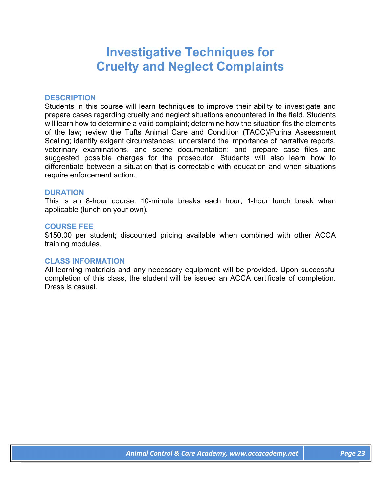# **Investigative Techniques for Cruelty and Neglect Complaints**

#### **DESCRIPTION**

Students in this course will learn techniques to improve their ability to investigate and prepare cases regarding cruelty and neglect situations encountered in the field. Students will learn how to determine a valid complaint; determine how the situation fits the elements of the law; review the Tufts Animal Care and Condition (TACC)/Purina Assessment Scaling; identify exigent circumstances; understand the importance of narrative reports, veterinary examinations, and scene documentation; and prepare case files and suggested possible charges for the prosecutor. Students will also learn how to differentiate between a situation that is correctable with education and when situations require enforcement action.

### **DURATION**

This is an 8-hour course. 10-minute breaks each hour, 1-hour lunch break when applicable (lunch on your own).

#### **COURSE FEE**

\$150.00 per student; discounted pricing available when combined with other ACCA training modules.

#### **CLASS INFORMATION**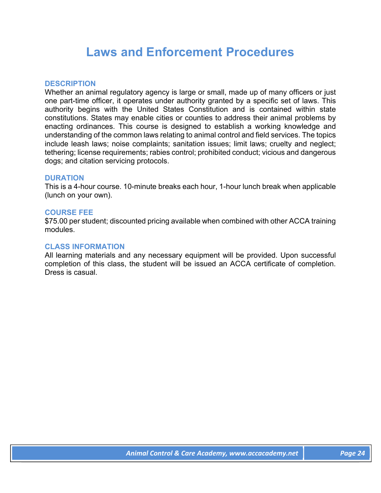# **Laws and Enforcement Procedures**

### **DESCRIPTION**

Whether an animal regulatory agency is large or small, made up of many officers or just one part-time officer, it operates under authority granted by a specific set of laws. This authority begins with the United States Constitution and is contained within state constitutions. States may enable cities or counties to address their animal problems by enacting ordinances. This course is designed to establish a working knowledge and understanding of the common laws relating to animal control and field services. The topics include leash laws; noise complaints; sanitation issues; limit laws; cruelty and neglect; tethering; license requirements; rabies control; prohibited conduct; vicious and dangerous dogs; and citation servicing protocols.

### **DURATION**

This is a 4-hour course. 10-minute breaks each hour, 1-hour lunch break when applicable (lunch on your own).

### **COURSE FEE**

\$75.00 per student; discounted pricing available when combined with other ACCA training modules.

# **CLASS INFORMATION**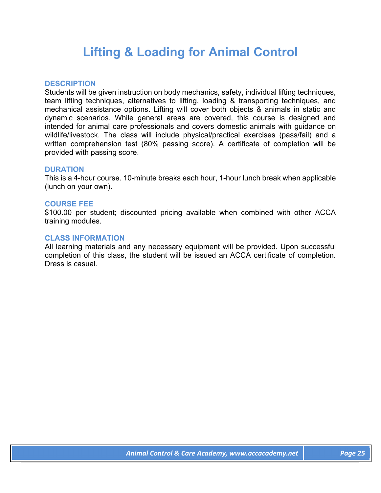# **Lifting & Loading for Animal Control**

# **DESCRIPTION**

Students will be given instruction on body mechanics, safety, individual lifting techniques, team lifting techniques, alternatives to lifting, loading & transporting techniques, and mechanical assistance options. Lifting will cover both objects & animals in static and dynamic scenarios. While general areas are covered, this course is designed and intended for animal care professionals and covers domestic animals with guidance on wildlife/livestock. The class will include physical/practical exercises (pass/fail) and a written comprehension test (80% passing score). A certificate of completion will be provided with passing score.

# **DURATION**

This is a 4-hour course. 10-minute breaks each hour, 1-hour lunch break when applicable (lunch on your own).

# **COURSE FEE**

\$100.00 per student; discounted pricing available when combined with other ACCA training modules.

# **CLASS INFORMATION**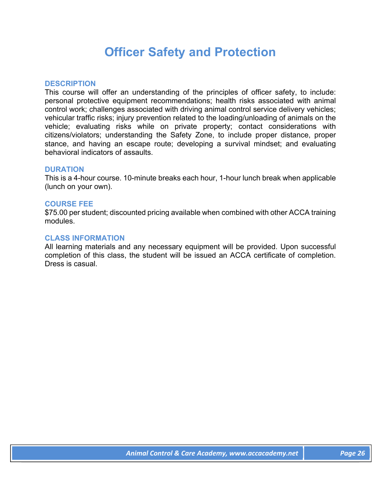# **Officer Safety and Protection**

# **DESCRIPTION**

This course will offer an understanding of the principles of officer safety, to include: personal protective equipment recommendations; health risks associated with animal control work; challenges associated with driving animal control service delivery vehicles; vehicular traffic risks; injury prevention related to the loading/unloading of animals on the vehicle; evaluating risks while on private property; contact considerations with citizens/violators; understanding the Safety Zone, to include proper distance, proper stance, and having an escape route; developing a survival mindset; and evaluating behavioral indicators of assaults.

# **DURATION**

This is a 4-hour course. 10-minute breaks each hour, 1-hour lunch break when applicable (lunch on your own).

# **COURSE FEE**

\$75.00 per student; discounted pricing available when combined with other ACCA training modules.

### **CLASS INFORMATION**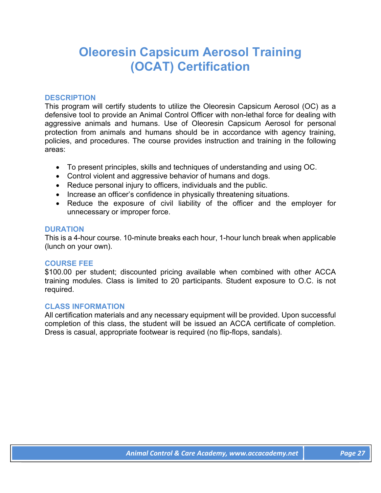# **Oleoresin Capsicum Aerosol Training (OCAT) Certification**

# **DESCRIPTION**

This program will certify students to utilize the Oleoresin Capsicum Aerosol (OC) as a defensive tool to provide an Animal Control Officer with non-lethal force for dealing with aggressive animals and humans. Use of Oleoresin Capsicum Aerosol for personal protection from animals and humans should be in accordance with agency training, policies, and procedures. The course provides instruction and training in the following areas:

- To present principles, skills and techniques of understanding and using OC.
- Control violent and aggressive behavior of humans and dogs.
- Reduce personal injury to officers, individuals and the public.
- Increase an officer's confidence in physically threatening situations.
- Reduce the exposure of civil liability of the officer and the employer for unnecessary or improper force.

# **DURATION**

This is a 4-hour course. 10-minute breaks each hour, 1-hour lunch break when applicable (lunch on your own).

# **COURSE FEE**

\$100.00 per student; discounted pricing available when combined with other ACCA training modules. Class is limited to 20 participants. Student exposure to O.C. is not required.

# **CLASS INFORMATION**

All certification materials and any necessary equipment will be provided. Upon successful completion of this class, the student will be issued an ACCA certificate of completion. Dress is casual, appropriate footwear is required (no flip-flops, sandals).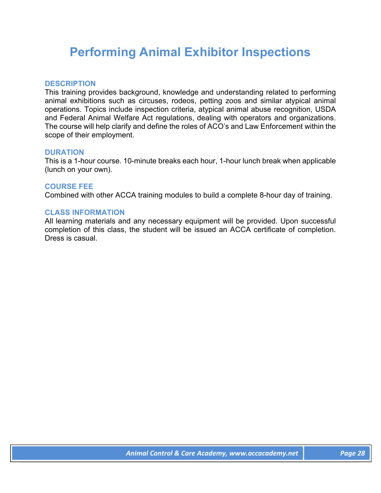# **Performing Animal Exhibitor Inspections**

# **DESCRIPTION**

This training provides background, knowledge and understanding related to performing animal exhibitions such as circuses, rodeos, petting zoos and similar atypical animal operations. Topics include inspection criteria, atypical animal abuse recognition, USDA and Federal Animal Welfare Act regulations, dealing with operators and organizations. The course will help clarify and define the roles of ACO's and Law Enforcement within the scope of their employment.

# **DURATION**

This is a 1-hour course. 10-minute breaks each hour, 1-hour lunch break when applicable (lunch on your own).

# **COURSE FEE**

Combined with other ACCA training modules to build a complete 8-hour day of training.

### **CLASS INFORMATION**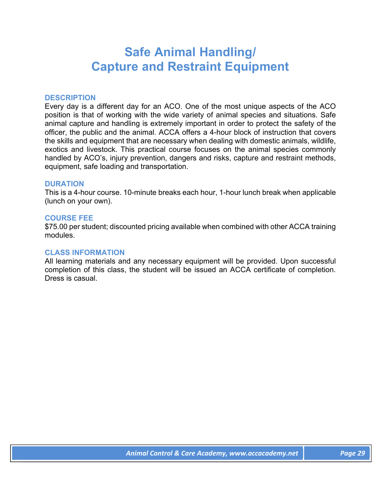# **Safe Animal Handling/ Capture and Restraint Equipment**

### **DESCRIPTION**

Every day is a different day for an ACO. One of the most unique aspects of the ACO position is that of working with the wide variety of animal species and situations. Safe animal capture and handling is extremely important in order to protect the safety of the officer, the public and the animal. ACCA offers a 4-hour block of instruction that covers the skills and equipment that are necessary when dealing with domestic animals, wildlife, exotics and livestock. This practical course focuses on the animal species commonly handled by ACO's, injury prevention, dangers and risks, capture and restraint methods, equipment, safe loading and transportation.

#### **DURATION**

This is a 4-hour course. 10-minute breaks each hour, 1-hour lunch break when applicable (lunch on your own).

### **COURSE FEE**

\$75.00 per student; discounted pricing available when combined with other ACCA training modules.

#### **CLASS INFORMATION**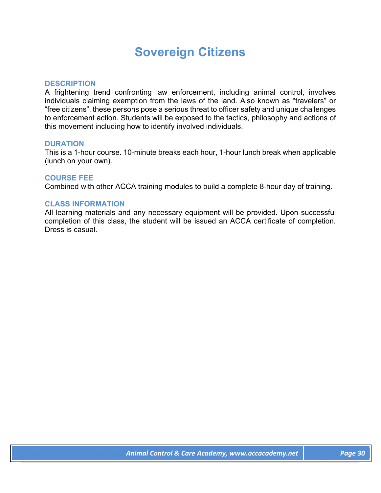# **Sovereign Citizens**

### **DESCRIPTION**

A frightening trend confronting law enforcement, including animal control, involves individuals claiming exemption from the laws of the land. Also known as "travelers" or "free citizens", these persons pose a serious threat to officer safety and unique challenges to enforcement action. Students will be exposed to the tactics, philosophy and actions of this movement including how to identify involved individuals.

#### **DURATION**

This is a 1-hour course. 10-minute breaks each hour, 1-hour lunch break when applicable (lunch on your own).

### **COURSE FEE**

Combined with other ACCA training modules to build a complete 8-hour day of training.

# **CLASS INFORMATION**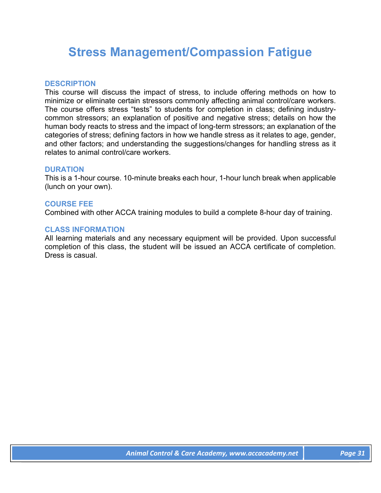# **Stress Management/Compassion Fatigue**

# **DESCRIPTION**

This course will discuss the impact of stress, to include offering methods on how to minimize or eliminate certain stressors commonly affecting animal control/care workers. The course offers stress "tests" to students for completion in class; defining industrycommon stressors; an explanation of positive and negative stress; details on how the human body reacts to stress and the impact of long-term stressors; an explanation of the categories of stress; defining factors in how we handle stress as it relates to age, gender, and other factors; and understanding the suggestions/changes for handling stress as it relates to animal control/care workers.

### **DURATION**

This is a 1-hour course. 10-minute breaks each hour, 1-hour lunch break when applicable (lunch on your own).

### **COURSE FEE**

Combined with other ACCA training modules to build a complete 8-hour day of training.

### **CLASS INFORMATION**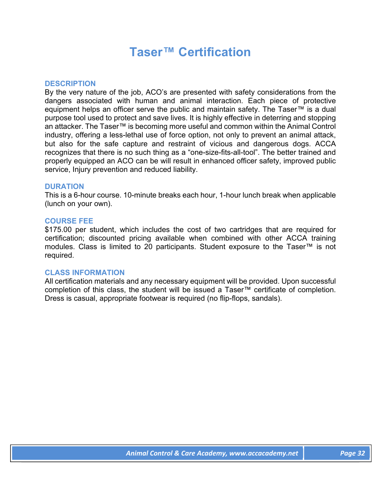# **Taser™ Certification**

### **DESCRIPTION**

By the very nature of the job, ACO's are presented with safety considerations from the dangers associated with human and animal interaction. Each piece of protective equipment helps an officer serve the public and maintain safety. The Taser™ is a dual purpose tool used to protect and save lives. It is highly effective in deterring and stopping an attacker. The Taser™ is becoming more useful and common within the Animal Control industry, offering a less-lethal use of force option, not only to prevent an animal attack, but also for the safe capture and restraint of vicious and dangerous dogs. ACCA recognizes that there is no such thing as a "one-size-fits-all-tool". The better trained and properly equipped an ACO can be will result in enhanced officer safety, improved public service, Injury prevention and reduced liability.

### **DURATION**

This is a 6-hour course. 10-minute breaks each hour, 1-hour lunch break when applicable (lunch on your own).

### **COURSE FEE**

\$175.00 per student, which includes the cost of two cartridges that are required for certification; discounted pricing available when combined with other ACCA training modules. Class is limited to 20 participants. Student exposure to the Taser™ is not required.

#### **CLASS INFORMATION**

All certification materials and any necessary equipment will be provided. Upon successful completion of this class, the student will be issued a Taser™ certificate of completion. Dress is casual, appropriate footwear is required (no flip-flops, sandals).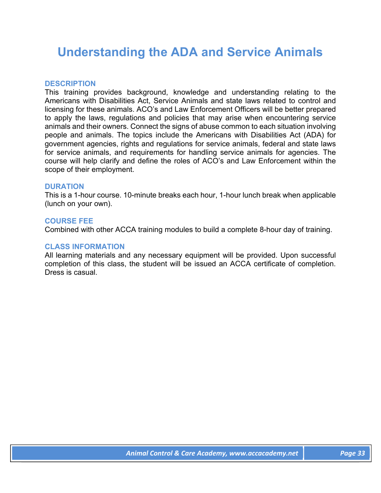# **Understanding the ADA and Service Animals**

### **DESCRIPTION**

This training provides background, knowledge and understanding relating to the Americans with Disabilities Act, Service Animals and state laws related to control and licensing for these animals. ACO's and Law Enforcement Officers will be better prepared to apply the laws, regulations and policies that may arise when encountering service animals and their owners. Connect the signs of abuse common to each situation involving people and animals. The topics include the Americans with Disabilities Act (ADA) for government agencies, rights and regulations for service animals, federal and state laws for service animals, and requirements for handling service animals for agencies. The course will help clarify and define the roles of ACO's and Law Enforcement within the scope of their employment.

### **DURATION**

This is a 1-hour course. 10-minute breaks each hour, 1-hour lunch break when applicable (lunch on your own).

### **COURSE FEE**

Combined with other ACCA training modules to build a complete 8-hour day of training.

#### **CLASS INFORMATION**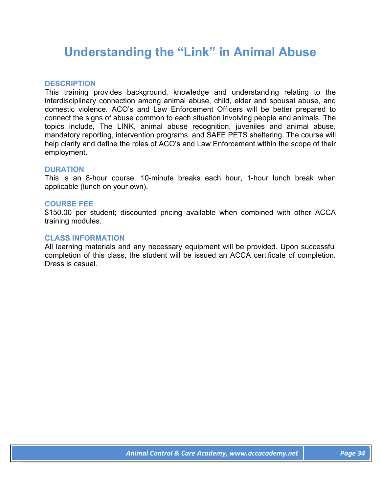# **Understanding the "Link" in Animal Abuse**

# **DESCRIPTION**

This training provides background, knowledge and understanding relating to the interdisciplinary connection among animal abuse, child, elder and spousal abuse, and domestic violence. ACO's and Law Enforcement Officers will be better prepared to connect the signs of abuse common to each situation involving people and animals. The topics include, The LINK, animal abuse recognition, juveniles and animal abuse, mandatory reporting, intervention programs, and SAFE PETS sheltering. The course will help clarify and define the roles of ACO's and Law Enforcement within the scope of their employment.

### **DURATION**

This is an 8-hour course. 10-minute breaks each hour, 1-hour lunch break when applicable (lunch on your own).

#### **COURSE FEE**

\$150.00 per student; discounted pricing available when combined with other ACCA training modules.

#### **CLASS INFORMATION**